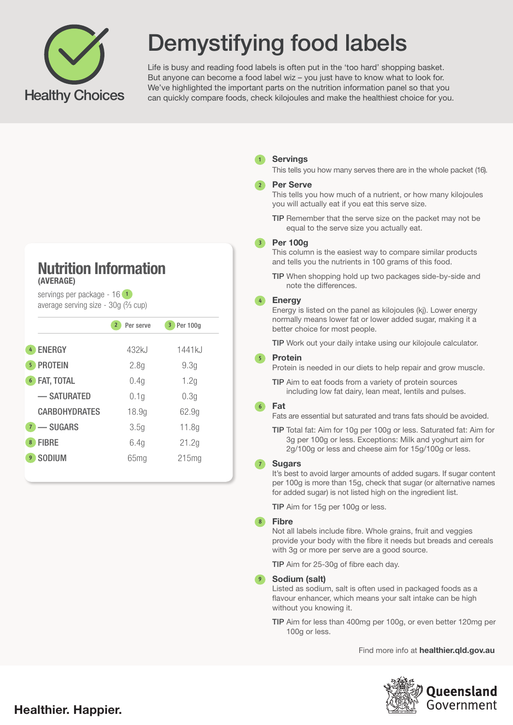

# Demystifying food labels

Life is busy and reading food labels is often put in the 'too hard' shopping basket. But anyone can become a food label wiz – you just have to know what to look for. We've highlighted the important parts on the nutrition information panel so that you can quickly compare foods, check kilojoules and make the healthiest choice for you.

## Nutrition Information (AVERAGE)

servings per package - 16 **1** average serving size - 30g (% cup)

|                           | Per serve<br>$\overline{2}$ | 3 Per 100q       |
|---------------------------|-----------------------------|------------------|
| <b>ENERGY</b><br>4        | 432kJ                       | 1441kJ           |
| <b>PROTEIN</b><br>5       | 2.8 <sub>q</sub>            | 9.3g             |
| FAT, TOTAL<br>6           | 0.4g                        | 1.2g             |
| - SATURATED               | 0.1g                        | 0.3 <sub>q</sub> |
| <b>CARBOHYDRATES</b>      | 18.9g                       | 62.9g            |
| -SUGARS<br>7 <sup>7</sup> | 3.5g                        | 11.8g            |
| <b>FIBRE</b><br>8         | 6.4g                        | 21.2g            |
| <b>SODIUM</b><br>9        | 65mg                        | 215mg            |
|                           |                             |                  |

## Servings  **1**

This tells you how many serves there are in the whole packet (16).

## Per Serve  **2**

This tells you how much of a nutrient, or how many kilojoules you will actually eat if you eat this serve size.

TIP Remember that the serve size on the packet may not be equal to the serve size you actually eat.

## Per 100g  **3**

This column is the easiest way to compare similar products and tells you the nutrients in 100 grams of this food.

TIP When shopping hold up two packages side-by-side and note the differences.

## Energy  **4**

Energy is listed on the panel as kilojoules (kj). Lower energy normally means lower fat or lower added sugar, making it a better choice for most people.

TIP Work out your daily intake using our kilojoule calculator.

#### Protein  **5**

Protein is needed in our diets to help repair and grow muscle.

TIP Aim to eat foods from a variety of protein sources including low fat dairy, lean meat, lentils and pulses.

#### Fat  **6**

Fats are essential but saturated and trans fats should be avoided.

TIP Total fat: Aim for 10g per 100g or less. Saturated fat: Aim for 3g per 100g or less. Exceptions: Milk and yoghurt aim for 2g/100g or less and cheese aim for 15g/100g or less.

## Sugars  **7**

It's best to avoid larger amounts of added sugars. If sugar content per 100g is more than 15g, check that sugar (or alternative names for added sugar) is not listed high on the ingredient list.

TIP Aim for 15g per 100g or less.

#### Fibre  **8**

Not all labels include fibre. Whole grains, fruit and veggies provide your body with the fibre it needs but breads and cereals with 3g or more per serve are a good source.

TIP Aim for 25-30g of fibre each day.

#### Sodium (salt)  **9**

Listed as sodium, salt is often used in packaged foods as a flavour enhancer, which means your salt intake can be high without you knowing it.

TIP Aim for less than 400mg per 100g, or even better 120mg per 100g or less.

Find more info at **healthier.qld.gov.au**